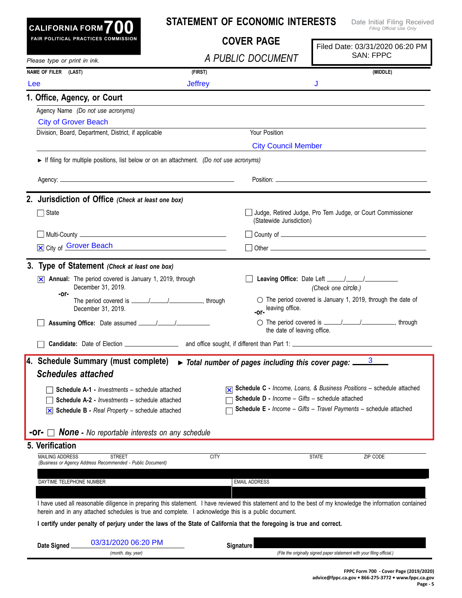| CALIFORNIA FORM $700$                                                                                                                                                                                                                                             |                                                    | <b>STATEMENT OF ECONOMIC INTERESTS</b>                            |                                 | Date Initial Filing Received<br>Filing Official Use Only                    |
|-------------------------------------------------------------------------------------------------------------------------------------------------------------------------------------------------------------------------------------------------------------------|----------------------------------------------------|-------------------------------------------------------------------|---------------------------------|-----------------------------------------------------------------------------|
| <b>FAIR POLITICAL PRACTICES COMMISSION</b>                                                                                                                                                                                                                        | <b>COVER PAGE</b>                                  |                                                                   | Filed Date: 03/31/2020 06:20 PM |                                                                             |
| Please type or print in ink.                                                                                                                                                                                                                                      |                                                    | A PUBLIC DOCUMENT                                                 |                                 | <b>SAN: FPPC</b>                                                            |
| NAME OF FILER (LAST)                                                                                                                                                                                                                                              | (FIRST)                                            |                                                                   |                                 | (MIDDLE)                                                                    |
| Lee                                                                                                                                                                                                                                                               | <b>Jeffrey</b>                                     |                                                                   | J                               |                                                                             |
| 1. Office, Agency, or Court                                                                                                                                                                                                                                       |                                                    |                                                                   |                                 |                                                                             |
| Agency Name (Do not use acronyms)                                                                                                                                                                                                                                 |                                                    |                                                                   |                                 |                                                                             |
| <b>City of Grover Beach</b>                                                                                                                                                                                                                                       |                                                    |                                                                   |                                 |                                                                             |
| Division, Board, Department, District, if applicable                                                                                                                                                                                                              |                                                    | Your Position                                                     |                                 |                                                                             |
|                                                                                                                                                                                                                                                                   |                                                    | <b>City Council Member</b>                                        |                                 |                                                                             |
| If filing for multiple positions, list below or on an attachment. (Do not use acronyms)                                                                                                                                                                           |                                                    |                                                                   |                                 |                                                                             |
|                                                                                                                                                                                                                                                                   |                                                    |                                                                   |                                 |                                                                             |
|                                                                                                                                                                                                                                                                   |                                                    |                                                                   |                                 |                                                                             |
| 2. Jurisdiction of Office (Check at least one box)                                                                                                                                                                                                                |                                                    |                                                                   |                                 |                                                                             |
| State                                                                                                                                                                                                                                                             |                                                    | (Statewide Jurisdiction)                                          |                                 | Judge, Retired Judge, Pro Tem Judge, or Court Commissioner                  |
|                                                                                                                                                                                                                                                                   |                                                    |                                                                   |                                 |                                                                             |
| X City of Grover Beach                                                                                                                                                                                                                                            | <u> 1989 - Johann Barn, amerikansk politiker (</u> |                                                                   |                                 |                                                                             |
|                                                                                                                                                                                                                                                                   |                                                    |                                                                   |                                 |                                                                             |
| 3. Type of Statement (Check at least one box)                                                                                                                                                                                                                     |                                                    |                                                                   |                                 |                                                                             |
| Annual: The period covered is January 1, 2019, through<br>December 31, 2019.<br>-or-                                                                                                                                                                              |                                                    |                                                                   | (Check one circle.)             |                                                                             |
| December 31, 2019.                                                                                                                                                                                                                                                |                                                    | leaving office.<br>-or-                                           |                                 | $\circ$ The period covered is January 1, 2019, through the date of          |
|                                                                                                                                                                                                                                                                   |                                                    | the date of leaving office.                                       |                                 | ○ The period covered is <u>______/______/</u> _______________, through      |
|                                                                                                                                                                                                                                                                   |                                                    |                                                                   |                                 |                                                                             |
| 4. Schedule Summary (must complete)<br><b>Schedules attached</b>                                                                                                                                                                                                  |                                                    | Total number of pages including this cover page:                  |                                 | 3                                                                           |
| <b>Schedule A-1 - Investments - schedule attached</b>                                                                                                                                                                                                             |                                                    |                                                                   |                                 | <b>Schedule C</b> - Income, Loans, & Business Positions - schedule attached |
| <b>Schedule A-2 - Investments - schedule attached</b>                                                                                                                                                                                                             |                                                    | Schedule D - Income - Gifts - schedule attached                   |                                 |                                                                             |
| $\boxed{\times}$ Schedule B - Real Property – schedule attached                                                                                                                                                                                                   |                                                    | Schedule E - Income - Gifts - Travel Payments - schedule attached |                                 |                                                                             |
| <b>-Or-</b> $\Box$ <b>None</b> - No reportable interests on any schedule                                                                                                                                                                                          |                                                    |                                                                   |                                 |                                                                             |
| 5. Verification                                                                                                                                                                                                                                                   |                                                    |                                                                   |                                 |                                                                             |
| <b>MAILING ADDRESS</b><br><b>STREET</b>                                                                                                                                                                                                                           | <b>CITY</b>                                        |                                                                   | <b>STATE</b>                    | ZIP CODE                                                                    |
| (Business or Agency Address Recommended - Public Document)                                                                                                                                                                                                        |                                                    |                                                                   |                                 |                                                                             |
| DAYTIME TELEPHONE NUMBER                                                                                                                                                                                                                                          |                                                    | <b>EMAIL ADDRESS</b>                                              |                                 |                                                                             |
|                                                                                                                                                                                                                                                                   |                                                    |                                                                   |                                 |                                                                             |
| I have used all reasonable diligence in preparing this statement. I have reviewed this statement and to the best of my knowledge the information contained<br>herein and in any attached schedules is true and complete. I acknowledge this is a public document. |                                                    |                                                                   |                                 |                                                                             |
| I certify under penalty of perjury under the laws of the State of California that the foregoing is true and correct.                                                                                                                                              |                                                    |                                                                   |                                 |                                                                             |
| 03/31/2020 06:20 PM<br>Date Signed                                                                                                                                                                                                                                |                                                    | Signature                                                         |                                 |                                                                             |
| (month, day, year)                                                                                                                                                                                                                                                |                                                    |                                                                   |                                 | (File the originally signed paper statement with your filing official.)     |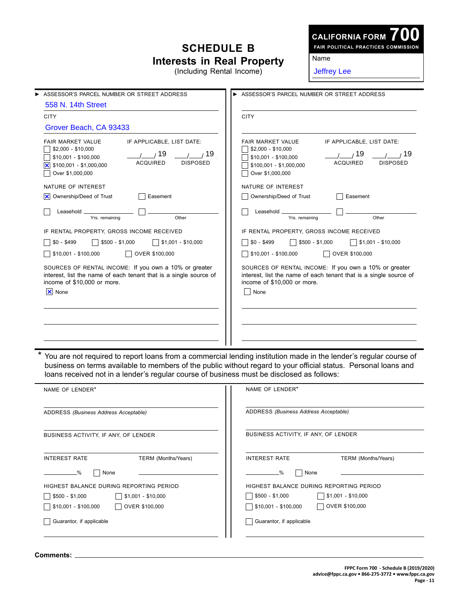## **Schedule B Interests in Real Property**

(Including Rental Income)

## **CALIFORNIA FORM**

**700 Fair Political Practices Commission**

Name

Jeffrey Lee

| ASSESSOR'S PARCEL NUMBER OR STREET ADDRESS<br>▶                                                                                                                     |                                                                                                                                                                                                                                                                                                                                   | ASSESSOR'S PARCEL NUMBER OR STREET ADDRESS                                                                     |                                                                                                                            |  |
|---------------------------------------------------------------------------------------------------------------------------------------------------------------------|-----------------------------------------------------------------------------------------------------------------------------------------------------------------------------------------------------------------------------------------------------------------------------------------------------------------------------------|----------------------------------------------------------------------------------------------------------------|----------------------------------------------------------------------------------------------------------------------------|--|
| 558 N. 14th Street                                                                                                                                                  |                                                                                                                                                                                                                                                                                                                                   |                                                                                                                |                                                                                                                            |  |
| <b>CITY</b>                                                                                                                                                         |                                                                                                                                                                                                                                                                                                                                   | <b>CITY</b>                                                                                                    |                                                                                                                            |  |
| Grover Beach, CA 93433                                                                                                                                              |                                                                                                                                                                                                                                                                                                                                   |                                                                                                                |                                                                                                                            |  |
| <b>FAIR MARKET VALUE</b><br>$$2,000 - $10,000$<br>\$10,001 - \$100,000<br>$\overline{\times}$ \$100,001 - \$1,000,000<br>Over \$1,000,000                           | IF APPLICABLE, LIST DATE:<br>19<br>19<br><b>ACQUIRED</b><br><b>DISPOSED</b>                                                                                                                                                                                                                                                       | FAIR MARKET VALUE<br>$$2,000 - $10,000$<br>$$10,001 - $100,000$<br>$$100,001 - $1,000,000$<br>Over \$1,000,000 | IF APPLICABLE, LIST DATE:<br>19<br>19<br><b>ACQUIRED</b><br><b>DISPOSED</b>                                                |  |
| NATURE OF INTEREST                                                                                                                                                  |                                                                                                                                                                                                                                                                                                                                   | NATURE OF INTEREST                                                                                             |                                                                                                                            |  |
| X Ownership/Deed of Trust<br>Easement                                                                                                                               |                                                                                                                                                                                                                                                                                                                                   | Ownership/Deed of Trust                                                                                        | Easement                                                                                                                   |  |
| Leasehold _<br>Yrs. remaining                                                                                                                                       | Other                                                                                                                                                                                                                                                                                                                             | Leasehold _<br>Yrs. remaining                                                                                  | Other                                                                                                                      |  |
| IF RENTAL PROPERTY, GROSS INCOME RECEIVED                                                                                                                           |                                                                                                                                                                                                                                                                                                                                   | IF RENTAL PROPERTY, GROSS INCOME RECEIVED                                                                      |                                                                                                                            |  |
| $$0 - $499$<br>$$1,001 - $10,000$<br>$$500 - $1,000$                                                                                                                |                                                                                                                                                                                                                                                                                                                                   | $$0 - $499$<br>$$500 - $1,000$<br>$$1,001 - $10,000$                                                           |                                                                                                                            |  |
| \$10,001 - \$100,000<br>OVER \$100,000                                                                                                                              |                                                                                                                                                                                                                                                                                                                                   | \$10,001 - \$100,000                                                                                           | OVER \$100,000                                                                                                             |  |
| SOURCES OF RENTAL INCOME: If you own a 10% or greater<br>interest, list the name of each tenant that is a single source of<br>income of \$10,000 or more.<br>X None |                                                                                                                                                                                                                                                                                                                                   | income of \$10,000 or more.<br>None                                                                            | SOURCES OF RENTAL INCOME: If you own a 10% or greater<br>interest, list the name of each tenant that is a single source of |  |
|                                                                                                                                                                     |                                                                                                                                                                                                                                                                                                                                   |                                                                                                                |                                                                                                                            |  |
|                                                                                                                                                                     |                                                                                                                                                                                                                                                                                                                                   |                                                                                                                |                                                                                                                            |  |
|                                                                                                                                                                     | You are not required to report loans from a commercial lending institution made in the lender's regular course of<br>business on terms available to members of the public without regard to your official status. Personal loans and<br>loans received not in a lender's regular course of business must be disclosed as follows: |                                                                                                                |                                                                                                                            |  |
| NAME OF LENDER*                                                                                                                                                     |                                                                                                                                                                                                                                                                                                                                   | NAME OF LENDER*                                                                                                |                                                                                                                            |  |
| ADDRESS (Business Address Acceptable)                                                                                                                               |                                                                                                                                                                                                                                                                                                                                   | ADDRESS (Business Address Acceptable)                                                                          |                                                                                                                            |  |

business activity, if any, of lender

interest rate Term (Months/Years)

**Example 3** None

highest balance during reporting period

OVER \$100,000

 $\sqrt{3}$ \$500 - \$1,000  $\sqrt{3}$ \$1,001 - \$10,000

 $\sqrt{ }$ \$10,001 - \$100,000

Guarantor, if applicable

| BUSINESS ACTIVITY, IF ANY, OF LENDER    |                            |  |  |  |
|-----------------------------------------|----------------------------|--|--|--|
| <b>INTEREST RATE</b>                    | <b>TERM</b> (Months/Years) |  |  |  |
|                                         |                            |  |  |  |
| None<br>$\frac{9}{6}$                   |                            |  |  |  |
| HIGHEST BALANCE DURING REPORTING PERIOD |                            |  |  |  |
| $$500 - $1.000$<br>$$1,001 - $10,000$   |                            |  |  |  |
| OVER \$100,000<br>$$10,001 - $100,000$  |                            |  |  |  |
| Guarantor, if applicable                |                            |  |  |  |